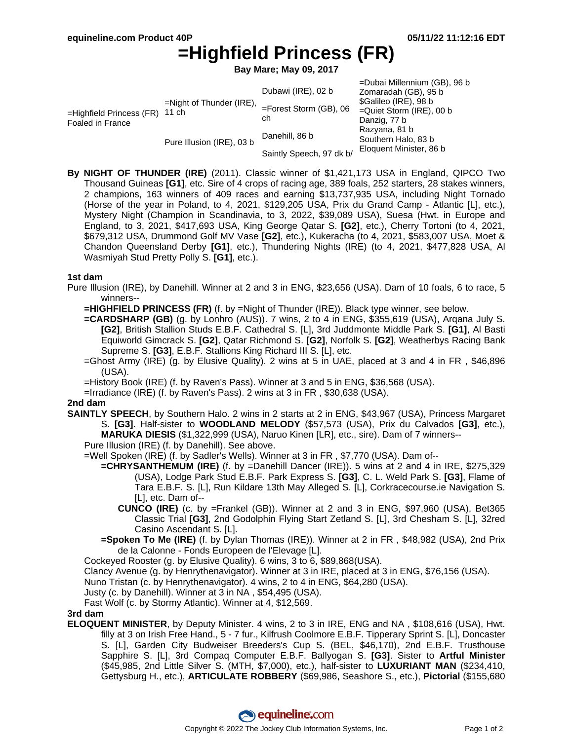# **=Highfield Princess (FR)**

**Bay Mare; May 09, 2017**

|                                                 |                                      |                                 | =Dubai Millennium (GB), 96 b |
|-------------------------------------------------|--------------------------------------|---------------------------------|------------------------------|
| $=$ Highfield Princess (FR)<br>Foaled in France | $=$ Night of Thunder (IRE),<br>11 ch | Dubawi (IRE), 02 b              | Zomaradah (GB), 95 b         |
|                                                 |                                      | $=$ Forest Storm (GB), 06<br>ch | \$Galileo (IRE), 98 b        |
|                                                 |                                      |                                 | $=$ Quiet Storm (IRE), 00 b  |
|                                                 |                                      |                                 | Danzig, 77 b                 |
|                                                 | Pure Illusion (IRE), 03 b            | Danehill, 86 b                  | Razyana, 81 b                |
|                                                 |                                      |                                 | Southern Halo, 83 b          |
|                                                 |                                      | Saintly Speech, 97 dk b/        | Eloquent Minister, 86 b      |

**By NIGHT OF THUNDER (IRE)** (2011). Classic winner of \$1,421,173 USA in England, QIPCO Two Thousand Guineas **[G1]**, etc. Sire of 4 crops of racing age, 389 foals, 252 starters, 28 stakes winners, 2 champions, 163 winners of 409 races and earning \$13,737,935 USA, including Night Tornado (Horse of the year in Poland, to 4, 2021, \$129,205 USA, Prix du Grand Camp - Atlantic [L], etc.), Mystery Night (Champion in Scandinavia, to 3, 2022, \$39,089 USA), Suesa (Hwt. in Europe and England, to 3, 2021, \$417,693 USA, King George Qatar S. **[G2]**, etc.), Cherry Tortoni (to 4, 2021, \$679,312 USA, Drummond Golf MV Vase **[G2]**, etc.), Kukeracha (to 4, 2021, \$583,007 USA, Moet & Chandon Queensland Derby **[G1]**, etc.), Thundering Nights (IRE) (to 4, 2021, \$477,828 USA, Al Wasmiyah Stud Pretty Polly S. **[G1]**, etc.).

# **1st dam**

- Pure Illusion (IRE), by Danehill. Winner at 2 and 3 in ENG, \$23,656 (USA). Dam of 10 foals, 6 to race, 5 winners--
	- **=HIGHFIELD PRINCESS (FR)** (f. by =Night of Thunder (IRE)). Black type winner, see below.
	- **=CARDSHARP (GB)** (g. by Lonhro (AUS)). 7 wins, 2 to 4 in ENG, \$355,619 (USA), Arqana July S. **[G2]**, British Stallion Studs E.B.F. Cathedral S. [L], 3rd Juddmonte Middle Park S. **[G1]**, Al Basti Equiworld Gimcrack S. **[G2]**, Qatar Richmond S. **[G2]**, Norfolk S. **[G2]**, Weatherbys Racing Bank Supreme S. **[G3]**, E.B.F. Stallions King Richard III S. [L], etc.
	- =Ghost Army (IRE) (g. by Elusive Quality). 2 wins at 5 in UAE, placed at 3 and 4 in FR , \$46,896 (USA).
	- =History Book (IRE) (f. by Raven's Pass). Winner at 3 and 5 in ENG, \$36,568 (USA).
	- =Irradiance (IRE) (f. by Raven's Pass). 2 wins at 3 in FR , \$30,638 (USA).

# **2nd dam**

- **SAINTLY SPEECH**, by Southern Halo. 2 wins in 2 starts at 2 in ENG, \$43,967 (USA), Princess Margaret S. **[G3]**. Half-sister to **WOODLAND MELODY** (\$57,573 (USA), Prix du Calvados **[G3]**, etc.), **MARUKA DIESIS** (\$1,322,999 (USA), Naruo Kinen [LR], etc., sire). Dam of 7 winners--
	- Pure Illusion (IRE) (f. by Danehill). See above.
	- =Well Spoken (IRE) (f. by Sadler's Wells). Winner at 3 in FR , \$7,770 (USA). Dam of--
		- **=CHRYSANTHEMUM (IRE)** (f. by =Danehill Dancer (IRE)). 5 wins at 2 and 4 in IRE, \$275,329 (USA), Lodge Park Stud E.B.F. Park Express S. **[G3]**, C. L. Weld Park S. **[G3]**, Flame of Tara E.B.F. S. [L], Run Kildare 13th May Alleged S. [L], Corkracecourse.ie Navigation S. [L], etc. Dam of--
			- **CUNCO (IRE)** (c. by =Frankel (GB)). Winner at 2 and 3 in ENG, \$97,960 (USA), Bet365 Classic Trial **[G3]**, 2nd Godolphin Flying Start Zetland S. [L], 3rd Chesham S. [L], 32red Casino Ascendant S. [L].
		- **=Spoken To Me (IRE)** (f. by Dylan Thomas (IRE)). Winner at 2 in FR , \$48,982 (USA), 2nd Prix de la Calonne - Fonds Europeen de l'Elevage [L].
	- Cockeyed Rooster (g. by Elusive Quality). 6 wins, 3 to 6, \$89,868(USA).
	- Clancy Avenue (g. by Henrythenavigator). Winner at 3 in IRE, placed at 3 in ENG, \$76,156 (USA).
	- Nuno Tristan (c. by Henrythenavigator). 4 wins, 2 to 4 in ENG, \$64,280 (USA).
	- Justy (c. by Danehill). Winner at 3 in NA , \$54,495 (USA).

Fast Wolf (c. by Stormy Atlantic). Winner at 4, \$12,569.

#### **3rd dam**

**ELOQUENT MINISTER**, by Deputy Minister. 4 wins, 2 to 3 in IRE, ENG and NA , \$108,616 (USA), Hwt. filly at 3 on Irish Free Hand., 5 - 7 fur., Kilfrush Coolmore E.B.F. Tipperary Sprint S. [L], Doncaster S. [L], Garden City Budweiser Breeders's Cup S. (BEL, \$46,170), 2nd E.B.F. Trusthouse Sapphire S. [L], 3rd Compaq Computer E.B.F. Ballyogan S. **[G3]**. Sister to **Artful Minister** (\$45,985, 2nd Little Silver S. (MTH, \$7,000), etc.), half-sister to **LUXURIANT MAN** (\$234,410, Gettysburg H., etc.), **ARTICULATE ROBBERY** (\$69,986, Seashore S., etc.), **Pictorial** (\$155,680